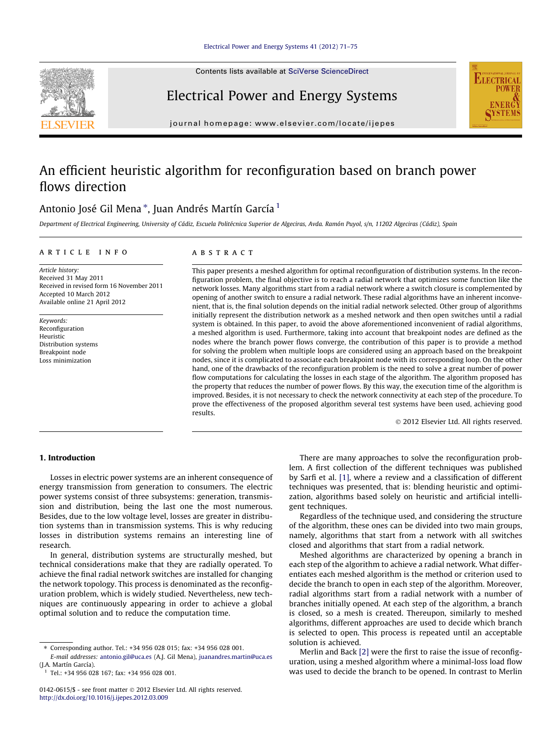

Contents lists available at [SciVerse ScienceDirect](http://www.sciencedirect.com/science/journal/01420615)

Electrical Power and Energy Systems



journal homepage: [www.elsevier.com/locate/ijepes](http://www.elsevier.com/locate/ijepes)

## An efficient heuristic algorithm for reconfiguration based on branch power flows direction

### Antonio José Gil Mena\*, Juan Andrés Martín García <sup>1</sup>

Department of Electrical Engineering, University of Cádiz, Escuela Politécnica Superior de Algeciras, Avda. Ramón Puyol, s/n, 11202 Algeciras (Cádiz), Spain

#### article info

Article history: Received 31 May 2011 Received in revised form 16 November 2011 Accepted 10 March 2012 Available online 21 April 2012

Keywords: Reconfiguration Heuristic Distribution systems Breakpoint node Loss minimization

#### **ABSTRACT**

This paper presents a meshed algorithm for optimal reconfiguration of distribution systems. In the reconfiguration problem, the final objective is to reach a radial network that optimizes some function like the network losses. Many algorithms start from a radial network where a switch closure is complemented by opening of another switch to ensure a radial network. These radial algorithms have an inherent inconvenient, that is, the final solution depends on the initial radial network selected. Other group of algorithms initially represent the distribution network as a meshed network and then open switches until a radial system is obtained. In this paper, to avoid the above aforementioned inconvenient of radial algorithms, a meshed algorithm is used. Furthermore, taking into account that breakpoint nodes are defined as the nodes where the branch power flows converge, the contribution of this paper is to provide a method for solving the problem when multiple loops are considered using an approach based on the breakpoint nodes, since it is complicated to associate each breakpoint node with its corresponding loop. On the other hand, one of the drawbacks of the reconfiguration problem is the need to solve a great number of power flow computations for calculating the losses in each stage of the algorithm. The algorithm proposed has the property that reduces the number of power flows. By this way, the execution time of the algorithm is improved. Besides, it is not necessary to check the network connectivity at each step of the procedure. To prove the effectiveness of the proposed algorithm several test systems have been used, achieving good results.

- 2012 Elsevier Ltd. All rights reserved.

#### 1. Introduction

Losses in electric power systems are an inherent consequence of energy transmission from generation to consumers. The electric power systems consist of three subsystems: generation, transmission and distribution, being the last one the most numerous. Besides, due to the low voltage level, losses are greater in distribution systems than in transmission systems. This is why reducing losses in distribution systems remains an interesting line of research.

In general, distribution systems are structurally meshed, but technical considerations make that they are radially operated. To achieve the final radial network switches are installed for changing the network topology. This process is denominated as the reconfiguration problem, which is widely studied. Nevertheless, new techniques are continuously appearing in order to achieve a global optimal solution and to reduce the computation time.

There are many approaches to solve the reconfiguration problem. A first collection of the different techniques was published by Sarfi et al. [\[1\]](#page--1-0), where a review and a classification of different techniques was presented, that is: blending heuristic and optimization, algorithms based solely on heuristic and artificial intelligent techniques.

Regardless of the technique used, and considering the structure of the algorithm, these ones can be divided into two main groups, namely, algorithms that start from a network with all switches closed and algorithms that start from a radial network.

Meshed algorithms are characterized by opening a branch in each step of the algorithm to achieve a radial network. What differentiates each meshed algorithm is the method or criterion used to decide the branch to open in each step of the algorithm. Moreover, radial algorithms start from a radial network with a number of branches initially opened. At each step of the algorithm, a branch is closed, so a mesh is created. Thereupon, similarly to meshed algorithms, different approaches are used to decide which branch is selected to open. This process is repeated until an acceptable solution is achieved.

Merlin and Back [\[2\]](#page--1-0) were the first to raise the issue of reconfiguration, using a meshed algorithm where a minimal-loss load flow was used to decide the branch to be opened. In contrast to Merlin

<sup>⇑</sup> Corresponding author. Tel.: +34 956 028 015; fax: +34 956 028 001. E-mail addresses: [antonio.gil@uca.es](mailto:antonio.gil@uca.es) (A.J. Gil Mena), [juanandres.martin@uca.es](mailto:juanandres.martin@uca.es)

<sup>(</sup>J.A. Martín García).

 $1$  Tel.: +34 956 028 167; fax: +34 956 028 001.

<sup>0142-0615/\$ -</sup> see front matter © 2012 Elsevier Ltd. All rights reserved. <http://dx.doi.org/10.1016/j.ijepes.2012.03.009>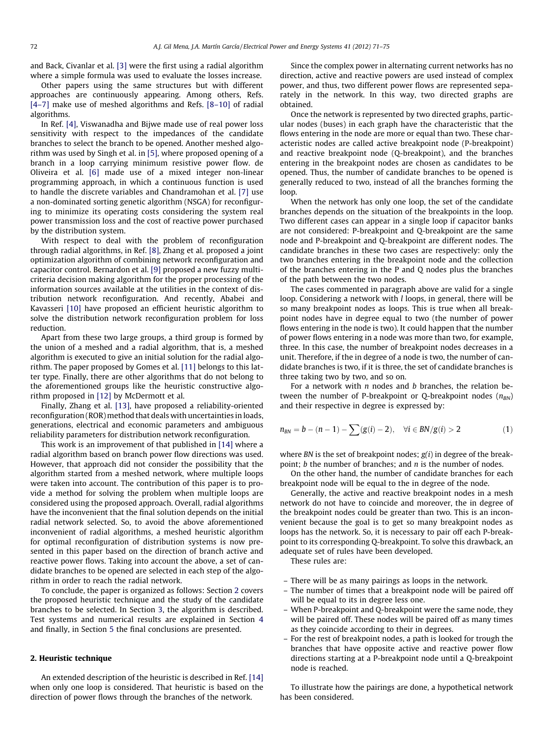and Back, Civanlar et al. [\[3\]](#page--1-0) were the first using a radial algorithm where a simple formula was used to evaluate the losses increase.

Other papers using the same structures but with different approaches are continuously appearing. Among others, Refs. [\[4–7\]](#page--1-0) make use of meshed algorithms and Refs. [\[8–10\]](#page--1-0) of radial algorithms.

In Ref. [\[4\]](#page--1-0), Viswanadha and Bijwe made use of real power loss sensitivity with respect to the impedances of the candidate branches to select the branch to be opened. Another meshed algorithm was used by Singh et al. in [\[5\],](#page--1-0) where proposed opening of a branch in a loop carrying minimum resistive power flow. de Oliveira et al. [\[6\]](#page--1-0) made use of a mixed integer non-linear programming approach, in which a continuous function is used to handle the discrete variables and Chandramohan et al. [\[7\]](#page--1-0) use a non-dominated sorting genetic algorithm (NSGA) for reconfiguring to minimize its operating costs considering the system real power transmission loss and the cost of reactive power purchased by the distribution system.

With respect to deal with the problem of reconfiguration through radial algorithms, in Ref. [\[8\]](#page--1-0), Zhang et al. proposed a joint optimization algorithm of combining network reconfiguration and capacitor control. Bernardon et al. [\[9\]](#page--1-0) proposed a new fuzzy multicriteria decision making algorithm for the proper processing of the information sources available at the utilities in the context of distribution network reconfiguration. And recently, Ababei and Kavasseri [\[10\]](#page--1-0) have proposed an efficient heuristic algorithm to solve the distribution network reconfiguration problem for loss reduction.

Apart from these two large groups, a third group is formed by the union of a meshed and a radial algorithm, that is, a meshed algorithm is executed to give an initial solution for the radial algorithm. The paper proposed by Gomes et al. [\[11\]](#page--1-0) belongs to this latter type. Finally, there are other algorithms that do not belong to the aforementioned groups like the heuristic constructive algorithm proposed in [\[12\]](#page--1-0) by McDermott et al.

Finally, Zhang et al. [\[13\],](#page--1-0) have proposed a reliability-oriented reconfiguration (ROR) method that deals with uncertainties in loads, generations, electrical and economic parameters and ambiguous reliability parameters for distribution network reconfiguration.

This work is an improvement of that published in [\[14\]](#page--1-0) where a radial algorithm based on branch power flow directions was used. However, that approach did not consider the possibility that the algorithm started from a meshed network, where multiple loops were taken into account. The contribution of this paper is to provide a method for solving the problem when multiple loops are considered using the proposed approach. Overall, radial algorithms have the inconvenient that the final solution depends on the initial radial network selected. So, to avoid the above aforementioned inconvenient of radial algorithms, a meshed heuristic algorithm for optimal reconfiguration of distribution systems is now presented in this paper based on the direction of branch active and reactive power flows. Taking into account the above, a set of candidate branches to be opened are selected in each step of the algorithm in order to reach the radial network.

To conclude, the paper is organized as follows: Section 2 covers the proposed heuristic technique and the study of the candidate branches to be selected. In Section [3](#page--1-0), the algorithm is described. Test systems and numerical results are explained in Section [4](#page--1-0) and finally, in Section [5](#page--1-0) the final conclusions are presented.

#### 2. Heuristic technique

An extended description of the heuristic is described in Ref. [\[14\]](#page--1-0) when only one loop is considered. That heuristic is based on the direction of power flows through the branches of the network.

Since the complex power in alternating current networks has no direction, active and reactive powers are used instead of complex power, and thus, two different power flows are represented separately in the network. In this way, two directed graphs are obtained.

Once the network is represented by two directed graphs, particular nodes (buses) in each graph have the characteristic that the flows entering in the node are more or equal than two. These characteristic nodes are called active breakpoint node (P-breakpoint) and reactive breakpoint node (Q-breakpoint), and the branches entering in the breakpoint nodes are chosen as candidates to be opened. Thus, the number of candidate branches to be opened is generally reduced to two, instead of all the branches forming the loop.

When the network has only one loop, the set of the candidate branches depends on the situation of the breakpoints in the loop. Two different cases can appear in a single loop if capacitor banks are not considered: P-breakpoint and Q-breakpoint are the same node and P-breakpoint and Q-breakpoint are different nodes. The candidate branches in these two cases are respectively: only the two branches entering in the breakpoint node and the collection of the branches entering in the P and Q nodes plus the branches of the path between the two nodes.

The cases commented in paragraph above are valid for a single loop. Considering a network with *l* loops, in general, there will be so many breakpoint nodes as loops. This is true when all breakpoint nodes have in degree equal to two (the number of power flows entering in the node is two). It could happen that the number of power flows entering in a node was more than two, for example, three. In this case, the number of breakpoint nodes decreases in a unit. Therefore, if the in degree of a node is two, the number of candidate branches is two, if it is three, the set of candidate branches is three taking two by two, and so on.

For a network with  $n$  nodes and  $b$  branches, the relation between the number of P-breakpoint or Q-breakpoint nodes  $(n_{BN})$ and their respective in degree is expressed by:

$$
n_{\text{BN}}=b-(n-1)-\sum(g(i)-2),\quad \forall i\in\text{BN}/g(i)>2\tag{1}
$$

where BN is the set of breakpoint nodes;  $g(i)$  in degree of the breakpoint;  $b$  the number of branches; and  $n$  is the number of nodes.

On the other hand, the number of candidate branches for each breakpoint node will be equal to the in degree of the node.

Generally, the active and reactive breakpoint nodes in a mesh network do not have to coincide and moreover, the in degree of the breakpoint nodes could be greater than two. This is an inconvenient because the goal is to get so many breakpoint nodes as loops has the network. So, it is necessary to pair off each P-breakpoint to its corresponding Q-breakpoint. To solve this drawback, an adequate set of rules have been developed.

These rules are:

- There will be as many pairings as loops in the network.
- The number of times that a breakpoint node will be paired off will be equal to its in degree less one.
- When P-breakpoint and Q-breakpoint were the same node, they will be paired off. These nodes will be paired off as many times as they coincide according to their in degrees.
- For the rest of breakpoint nodes, a path is looked for trough the branches that have opposite active and reactive power flow directions starting at a P-breakpoint node until a Q-breakpoint node is reached.

To illustrate how the pairings are done, a hypothetical network has been considered.